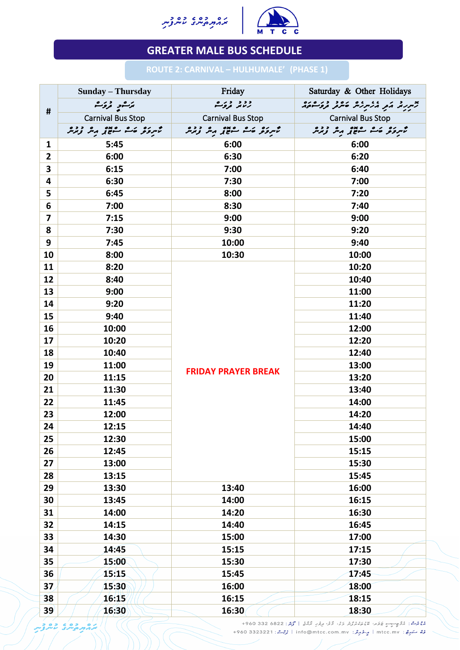



|                 | <b>Sunday – Thursday</b> | Friday                                                       | Saturday & Other Holidays                         |
|-----------------|--------------------------|--------------------------------------------------------------|---------------------------------------------------|
|                 | ټرگ <sub>ا</sub> ر تروک  | د د د در ه<br>رسمر تروگ                                      | x در د کم کر مرکز می ده د در ۲۵ دره               |
| #               | <b>Carnival Bus Stop</b> | <b>Carnival Bus Stop</b>                                     | <b>Carnival Bus Stop</b>                          |
|                 | ځمرونو ځت سووړ مه ورمه   | مهرونو من مده مدده<br>تامرونو من معون <sub>د</sub> متر زبرمر | ځمرونو ځت سوېږ مه وره<br>کمبرونو ځت سوېږ مهر وبرس |
| $\mathbf 1$     | 5:45                     | 6:00                                                         | 6:00                                              |
| $\overline{2}$  | 6:00                     | 6:30                                                         | 6:20                                              |
| $\mathbf{3}$    | 6:15                     | 7:00                                                         | 6:40                                              |
| 4               | 6:30                     | 7:30                                                         | 7:00                                              |
| 5               | 6:45                     | 8:00                                                         | 7:20                                              |
| 6               | 7:00                     | 8:30                                                         | 7:40                                              |
| $\overline{7}$  | 7:15                     | 9:00                                                         | 9:00                                              |
| 8               | 7:30                     | 9:30                                                         | 9:20                                              |
| 9               | 7:45                     | 10:00                                                        | 9:40                                              |
| 10              | 8:00                     | 10:30                                                        | 10:00                                             |
| 11              | 8:20                     | <b>FRIDAY PRAYER BREAK</b>                                   | 10:20                                             |
| 12              | 8:40                     |                                                              | 10:40                                             |
| 13              | 9:00                     |                                                              | 11:00                                             |
| 14              | 9:20                     |                                                              | 11:20                                             |
| 15              | 9:40                     |                                                              | 11:40                                             |
| 16              | 10:00                    |                                                              | 12:00                                             |
| 17              | 10:20                    |                                                              | 12:20                                             |
| 18              | 10:40                    |                                                              | 12:40                                             |
| 19              | 11:00                    |                                                              | 13:00                                             |
| 20              | 11:15                    |                                                              | 13:20                                             |
| 21              | 11:30                    |                                                              | 13:40                                             |
| 22              | 11:45                    |                                                              | 14:00                                             |
| 23              | 12:00                    |                                                              | 14:20                                             |
| 24              | 12:15                    |                                                              | 14:40                                             |
| 25              | 12:30                    |                                                              | 15:00                                             |
| 26              | 12:45                    |                                                              | 15:15                                             |
| 27              | 13:00                    |                                                              | 15:30                                             |
| 28              | 13:15                    |                                                              | 15:45                                             |
| 29              | 13:30                    | 13:40                                                        | 16:00                                             |
| 30              | 13:45                    | 14:00                                                        | 16:15                                             |
| 31              | 14:00                    | 14:20                                                        | 16:30                                             |
| 32              | 14:15                    | 14:40                                                        | 16:45                                             |
| 33              | 14:30                    | 15:00                                                        | 17:00                                             |
| 34              | 14:45                    | 15:15                                                        | 17:15                                             |
| 35              | 15:00                    | 15:30                                                        | 17:30                                             |
| 36              | 15:15                    | 15:45                                                        | 17:45                                             |
| 37 <sub>2</sub> | 15:30                    | 16:00                                                        | 18:00                                             |
| 38              | 16:15                    | 16:15                                                        | 18:15                                             |
| 39'             | 16:30                    | 16:30                                                        | 18:30                                             |

## **GREATER MALE BUS SCHEDULE**

## **ROUTE 2: CARNIVAL – HULHUMALE'****(PHASE 1)**